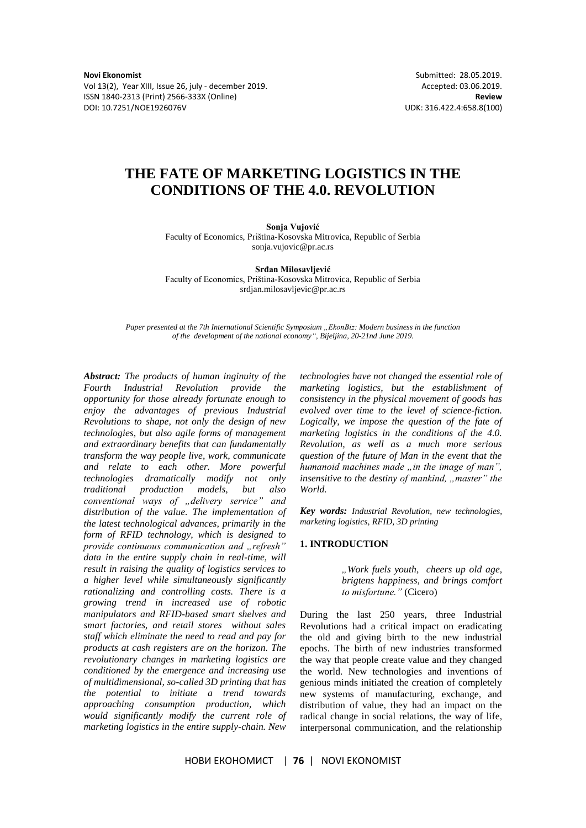**Novi Ekonomist** Submitted: 28.05.2019.<br>
Vol 13(2), Year XIII, Issue 26, july - december 2019. 
Submitted: 03.06.2019. Vol 13(2), Year XIII, Issue 26, july - december 2019. ISSN 1840-2313 (Print) 2566-333X (Online) **Review** DOI: 10.7251/NOE1926076V UDK: 316.422.4:658.8(100)

# **THE FATE OF MARKETING LOGISTICS IN THE CONDITIONS OF THE 4.0. REVOLUTION**

**Sonja Vujović** 

Faculty of Economics, Priština-Kosovska Mitrovica, Republic of Serbia sonja.vujovic@pr.ac.rs

**Srđan Milosavljević**  Faculty of Economics, Priština-Kosovska Mitrovica, Republic of Serbia srdjan.milosavljevic@pr.ac.rs

*Paper presented at the 7th International Scientific Symposium "EkonBiz: Modern business in the function of the development of the national economy", Bijeljina, 20-21nd June 2019.*

*Abstract: The products of human inginuity of the Fourth Industrial Revolution provide the opportunity for those already fortunate enough to enjoy the advantages of previous Industrial Revolutions to shape, not only the design of new technologies, but also agile forms of management and extraordinary benefits that can fundamentally transform the way people live, work, communicate and relate to each other. More powerful technologies dramatically modify not only traditional production models, but also conventional ways of "delivery service" and distribution of the value. The implementation of the latest technological advances, primarily in the form of RFID technology, which is designed to provide continuous communication and "refresh" data in the entire supply chain in real-time, will result in raising the quality of logistics services to a higher level while simultaneously significantly rationalizing and controlling costs. There is a growing trend in increased use of robotic manipulators and RFID-based smart shelves and smart factories, and retail stores without sales staff which eliminate the need to read and pay for products at cash registers are on the horizon. The revolutionary changes in marketing logistics are conditioned by the emergence and increasing use of multidimensional, so-called 3D printing that has the potential to initiate a trend towards approaching consumption production, which would significantly modify the current role of marketing logistics in the entire supply-chain. New* 

*technologies have not changed the essential role of marketing logistics, but the establishment of consistency in the physical movement of goods has evolved over time to the level of science-fiction. Logically, we impose the question of the fate of marketing logistics in the conditions of the 4.0. Revolution, as well as a much more serious question of the future of Man in the event that the*  humanoid machines made "*in the image of man*", *insensitive to the destiny of mankind, "master" the World.*

*Key words: Industrial Revolution, new technologies, marketing logistics, RFID, 3D printing* 

#### **1. INTRODUCTION**

*"Work fuels youth, cheers up old age, brigtens happiness, and brings comfort to misfortune."* (Cicero)

During the last 250 years, three Industrial Revolutions had a critical impact on eradicating the old and giving birth to the new industrial epochs. The birth of new industries transformed the way that people create value and they changed the world. New technologies and inventions of genious minds initiated the creation of completely new systems of manufacturing, exchange, and distribution of value, they had an impact on the radical change in social relations, the way of life, interpersonal communication, and the relationship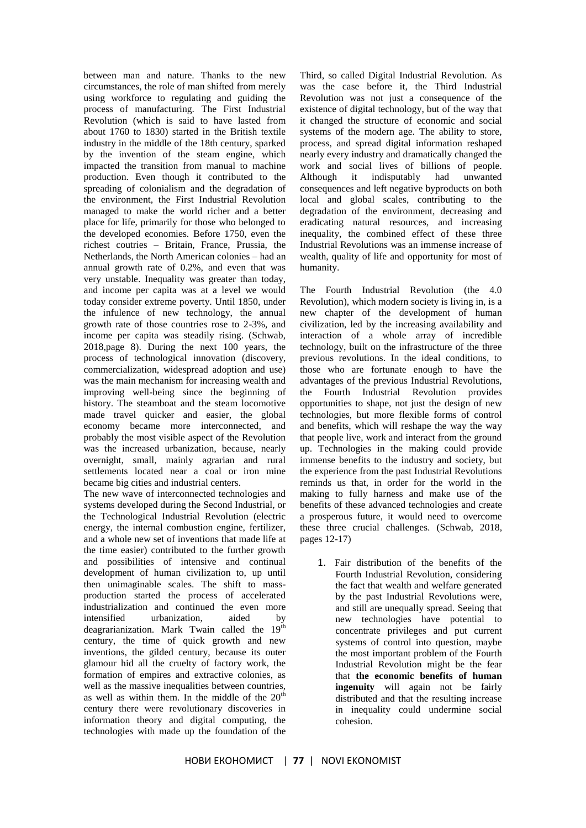between man and nature. Thanks to the new circumstances, the role of man shifted from merely using workforce to regulating and guiding the process of manufacturing. The First Industrial Revolution (which is said to have lasted from about 1760 to 1830) started in the British textile industry in the middle of the 18th century, sparked by the invention of the steam engine, which impacted the transition from manual to machine production. Even though it contributed to the spreading of colonialism and the degradation of the environment, the First Industrial Revolution managed to make the world richer and a better place for life, primarily for those who belonged to the developed economies. Before 1750, even the richest coutries – Britain, France, Prussia, the Netherlands, the North American colonies – had an annual growth rate of 0.2%, and even that was very unstable. Inequality was greater than today, and income per capita was at a level we would today consider extreme poverty. Until 1850, under the infulence of new technology, the annual growth rate of those countries rose to 2-3%, and income per capita was steadily rising. (Schwab, 2018,page 8). During the next 100 years, the process of technological innovation (discovery, commercialization, widespread adoption and use) was the main mechanism for increasing wealth and improving well-being since the beginning of history. The steamboat and the steam locomotive made travel quicker and easier, the global economy became more interconnected, and probably the most visible aspect of the Revolution was the increased urbanization, because, nearly overnight, small, mainly agrarian and rural settlements located near a coal or iron mine became big cities and industrial centers.

The new wave of interconnected technologies and systems developed during the Second Industrial, or the Technological Industrial Revolution (electric energy, the internal combustion engine, fertilizer, and a whole new set of inventions that made life at the time easier) contributed to the further growth and possibilities of intensive and continual development of human civilization to, up until then unimaginable scales. The shift to massproduction started the process of accelerated industrialization and continued the even more intensified urbanization, aided by deagrarianization. Mark Twain called the  $19<sup>th</sup>$ century, the time of quick growth and new inventions, the gilded century, because its outer glamour hid all the cruelty of factory work, the formation of empires and extractive colonies, as well as the massive inequalities between countries, as well as within them. In the middle of the  $20<sup>th</sup>$ century there were revolutionary discoveries in information theory and digital computing, the technologies with made up the foundation of the Third, so called Digital Industrial Revolution. As was the case before it, the Third Industrial Revolution was not just a consequence of the existence of digital technology, but of the way that it changed the structure of economic and social systems of the modern age. The ability to store, process, and spread digital information reshaped nearly every industry and dramatically changed the work and social lives of billions of people. Although it indisputably had unwanted consequences and left negative byproducts on both local and global scales, contributing to the degradation of the environment, decreasing and eradicating natural resources, and increasing inequality, the combined effect of these three Industrial Revolutions was an immense increase of wealth, quality of life and opportunity for most of humanity.

The Fourth Industrial Revolution (the 4.0 Revolution), which modern society is living in, is a new chapter of the development of human civilization, led by the increasing availability and interaction of a whole array of incredible technology, built on the infrastructure of the three previous revolutions. In the ideal conditions, to those who are fortunate enough to have the advantages of the previous Industrial Revolutions, the Fourth Industrial Revolution provides opportunities to shape, not just the design of new technologies, but more flexible forms of control and benefits, which will reshape the way the way that people live, work and interact from the ground up. Technologies in the making could provide immense benefits to the industry and society, but the experience from the past Industrial Revolutions reminds us that, in order for the world in the making to fully harness and make use of the benefits of these advanced technologies and create a prosperous future, it would need to overcome these three crucial challenges. (Schwab, 2018, pages 12-17)

1. Fair distribution of the benefits of the Fourth Industrial Revolution, considering the fact that wealth and welfare generated by the past Industrial Revolutions were, and still are unequally spread. Seeing that new technologies have potential to concentrate privileges and put current systems of control into question, maybe the most important problem of the Fourth Industrial Revolution might be the fear that **the economic benefits of human ingenuity** will again not be fairly distributed and that the resulting increase in inequality could undermine social cohesion.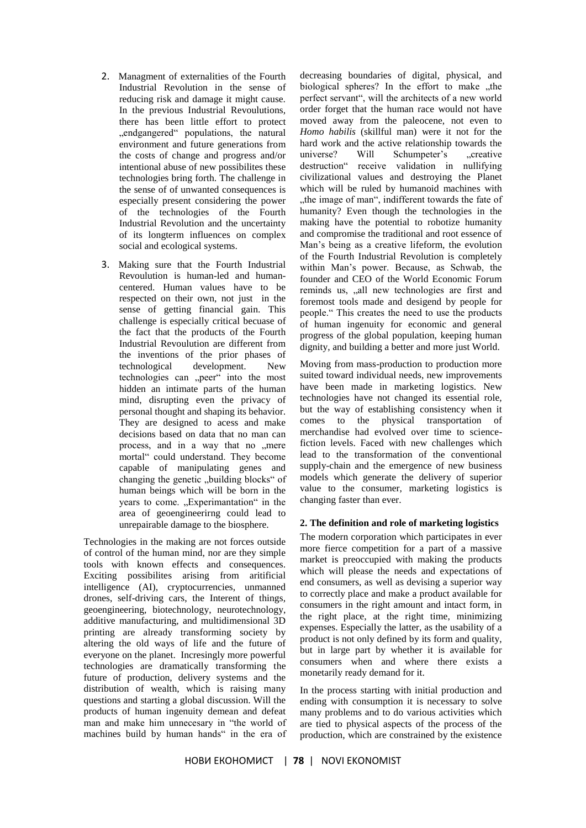- 2. Managment of externalities of the Fourth Industrial Revolution in the sense of reducing risk and damage it might cause. In the previous Industrial Revoulutions, there has been little effort to protect "endgangered" populations, the natural environment and future generations from the costs of change and progress and/or intentional abuse of new possibilites these technologies bring forth. The challenge in the sense of of unwanted consequences is especially present considering the power of the technologies of the Fourth Industrial Revolution and the uncertainty of its longterm influences on complex social and ecological systems.
- 3. Making sure that the Fourth Industrial Revoulution is human-led and humancentered. Human values have to be respected on their own, not just in the sense of getting financial gain. This challenge is especially critical becuase of the fact that the products of the Fourth Industrial Revoulution are different from the inventions of the prior phases of technological development. New technologies can "peer" into the most hidden an intimate parts of the human mind, disrupting even the privacy of personal thought and shaping its behavior. They are designed to acess and make decisions based on data that no man can process, and in a way that no "mere mortal" could understand. They become capable of manipulating genes and changing the genetic "building blocks" of human beings which will be born in the years to come. "Experimantation" in the area of geoengineerirng could lead to unrepairable damage to the biosphere.

Technologies in the making are not forces outside of control of the human mind, nor are they simple tools with known effects and consequences. Exciting possibilites arising from aritificial intelligence (AI), cryptocurrencies, unmanned drones, self-driving cars, the Interent of things, geoengineering, biotechnology, neurotechnology, additive manufacturing, and multidimensional 3D printing are already transforming society by altering the old ways of life and the future of everyone on the planet. Incresingly more powerful technologies are dramatically transforming the future of production, delivery systems and the distribution of wealth, which is raising many questions and starting a global discussion. Will the products of human ingenuity demean and defeat man and make him unnecesary in "the world of machines build by human hands" in the era of

decreasing boundaries of digital, physical, and biological spheres? In the effort to make the perfect servant", will the architects of a new world order forget that the human race would not have moved away from the paleocene, not even to *Homo habilis* (skillful man) were it not for the hard work and the active relationship towards the universe? Will Schumpeter's creative destruction" receive validation in nullifying civilizational values and destroying the Planet which will be ruled by humanoid machines with the image of man", indifferent towards the fate of humanity? Even though the technologies in the making have the potential to robotize humanity and compromise the traditional and root essence of Man's being as a creative lifeform, the evolution of the Fourth Industrial Revolution is completely within Man's power. Because, as Schwab, the founder and CEO of the World Economic Forum reminds us,  $\alpha$ all new technologies are first and foremost tools made and desigend by people for people." This creates the need to use the products of human ingenuity for economic and general progress of the global population, keeping human dignity, and building a better and more just World.

Moving from mass-production to production more suited toward individual needs, new improvements have been made in marketing logistics. New technologies have not changed its essential role, but the way of establishing consistency when it comes to the physical transportation of merchandise had evolved over time to sciencefiction levels. Faced with new challenges which lead to the transformation of the conventional supply-chain and the emergence of new business models which generate the delivery of superior value to the consumer, marketing logistics is changing faster than ever.

# **2. The definition and role of marketing logistics**

The modern corporation which participates in ever more fierce competition for a part of a massive market is preoccupied with making the products which will please the needs and expectations of end consumers, as well as devising a superior way to correctly place and make a product available for consumers in the right amount and intact form, in the right place, at the right time, minimizing expenses. Especially the latter, as the usability of a product is not only defined by its form and quality, but in large part by whether it is available for consumers when and where there exists a monetarily ready demand for it.

In the process starting with initial production and ending with consumption it is necessary to solve many problems and to do various activities which are tied to physical aspects of the process of the production, which are constrained by the existence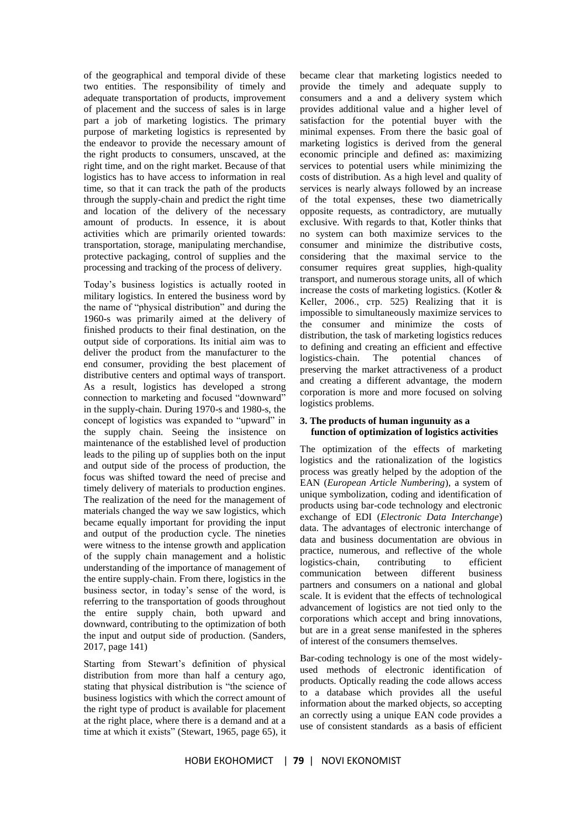of the geographical and temporal divide of these two entities. The responsibility of timely and adequate transportation of products, improvement of placement and the success of sales is in large part a job of marketing logistics. The primary purpose of marketing logistics is represented by the endeavor to provide the necessary amount of the right products to consumers, unscaved, at the right time, and on the right market. Because of that logistics has to have access to information in real time, so that it can track the path of the products through the supply-chain and predict the right time and location of the delivery of the necessary amount of products. In essence, it is about activities which are primarily oriented towards: transportation, storage, manipulating merchandise, protective packaging, control of supplies and the processing and tracking of the process of delivery.

Today's business logistics is actually rooted in military logistics. In entered the business word by the name of "physical distribution" and during the 1960-s was primarily aimed at the delivery of finished products to their final destination, on the output side of corporations. Its initial aim was to deliver the product from the manufacturer to the end consumer, providing the best placement of distributive centers and optimal ways of transport. As a result, logistics has developed a strong connection to marketing and focused "downward" in the supply-chain. During 1970-s and 1980-s, the concept of logistics was expanded to "upward" in the supply chain. Seeing the insistence on maintenance of the established level of production leads to the piling up of supplies both on the input and output side of the process of production, the focus was shifted toward the need of precise and timely delivery of materials to production engines. The realization of the need for the management of materials changed the way we saw logistics, which became equally important for providing the input and output of the production cycle. The nineties were witness to the intense growth and application of the supply chain management and a holistic understanding of the importance of management of the entire supply-chain. From there, logistics in the business sector, in today's sense of the word, is referring to the transportation of goods throughout the entire supply chain, both upward and downward, contributing to the optimization of both the input and output side of production. (Sanders, 2017, page 141)

Starting from Stewart's definition of physical distribution from more than half a century ago, stating that physical distribution is "the science of business logistics with which the correct amount of the right type of product is available for placement at the right place, where there is a demand and at a time at which it exists" (Stewart, 1965, page 65), it became clear that marketing logistics needed to provide the timely and adequate supply to consumers and a and a delivery system which provides additional value and a higher level of satisfaction for the potential buyer with the minimal expenses. From there the basic goal of marketing logistics is derived from the general economic principle and defined as: maximizing services to potential users while minimizing the costs of distribution. As a high level and quality of services is nearly always followed by an increase of the total expenses, these two diametrically opposite requests, as contradictory, are mutually exclusive. With regards to that, Kotler thinks that no system can both maximize services to the consumer and minimize the distributive costs, considering that the maximal service to the consumer requires great supplies, high-quality transport, and numerous storage units, all of which increase the costs of marketing logistics. (Kotler & Keller, 2006., стр. 525) Realizing that it is impossible to simultaneously maximize services to the consumer and minimize the costs of distribution, the task of marketing logistics reduces to defining and creating an efficient and effective logistics-chain. The potential chances of preserving the market attractiveness of a product and creating a different advantage, the modern corporation is more and more focused on solving logistics problems.

# **3. The products of human ingunuity as a function of optimization of logistics activities**

The optimization of the effects of marketing logistics and the rationalization of the logistics process was greatly helped by the adoption of the EAN (*European Article Numbering*), a system of unique symbolization, coding and identification of products using bar-code technology and electronic exchange of EDI (*Electronic Data Interchange*) data. The advantages of electronic interchange of data and business documentation are obvious in practice, numerous, and reflective of the whole logistics-chain, contributing to efficient communication between different business partners and consumers on a national and global scale. It is evident that the effects of technological advancement of logistics are not tied only to the corporations which accept and bring innovations, but are in a great sense manifested in the spheres of interest of the consumers themselves.

Bar-coding technology is one of the most widelyused methods of electronic identification of products. Optically reading the code allows access to a database which provides all the useful information about the marked objects, so accepting an correctly using a unique EAN code provides a use of consistent standards as a basis of efficient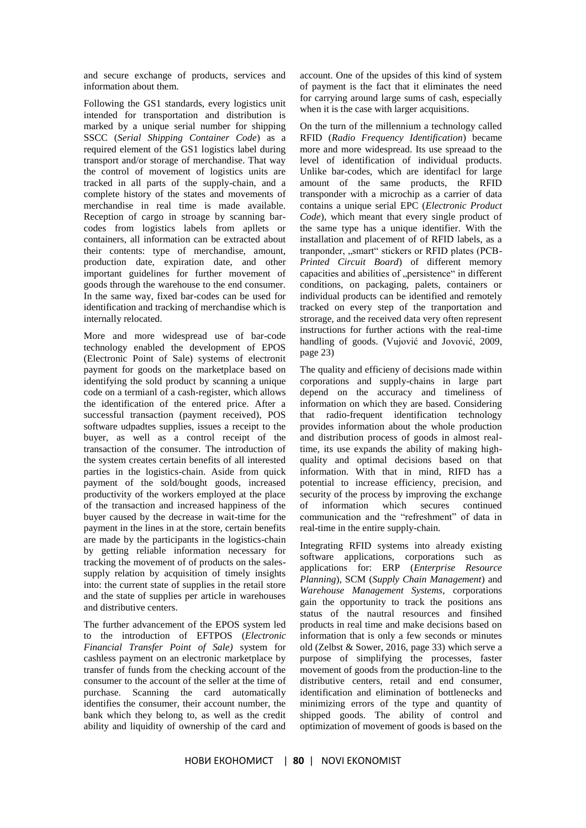and secure exchange of products, services and information about them.

Following the GS1 standards, every logistics unit intended for transportation and distribution is marked by a unique serial number for shipping SSCC (*Serial Shipping Container Code*) as a required element of the GS1 logistics label during transport and/or storage of merchandise. That way the control of movement of logistics units are tracked in all parts of the supply-chain, and a complete history of the states and movements of merchandise in real time is made available. Reception of cargo in stroage by scanning barcodes from logistics labels from apllets or containers, all information can be extracted about their contents: type of merchandise, amount, production date, expiration date, and other important guidelines for further movement of goods through the warehouse to the end consumer. In the same way, fixed bar-codes can be used for identification and tracking of merchandise which is internally relocated.

More and more widespread use of bar-code technology enabled the development of EPOS (Electronic Point of Sale) systems of electronit payment for goods on the marketplace based on identifying the sold product by scanning a unique code on a termianl of a cash-register, which allows the identification of the entered price. After a successful transaction (payment received), POS software udpadtes supplies, issues a receipt to the buyer, as well as a control receipt of the transaction of the consumer. The introduction of the system creates certain benefits of all interested parties in the logistics-chain. Aside from quick payment of the sold/bought goods, increased productivity of the workers employed at the place of the transaction and increased happiness of the buyer caused by the decrease in wait-time for the payment in the lines in at the store, certain benefits are made by the participants in the logistics-chain by getting reliable information necessary for tracking the movement of of products on the salessupply relation by acquisition of timely insights into: the current state of supplies in the retail store and the state of supplies per article in warehouses and distributive centers.

The further advancement of the EPOS system led to the introduction of EFTPOS (*Electronic Financial Transfer Point of Sale)* system for cashless payment on an electronic marketplace by transfer of funds from the checking account of the consumer to the account of the seller at the time of purchase. Scanning the card automatically identifies the consumer, their account number, the bank which they belong to, as well as the credit ability and liquidity of ownership of the card and

account. One of the upsides of this kind of system of payment is the fact that it eliminates the need for carrying around large sums of cash, especially when it is the case with larger acquisitions.

On the turn of the millennium a technology called RFID (*Radio Frequency Identification*) became more and more widespread. Its use spreaad to the level of identification of individual products. Unlike bar-codes, which are identifacl for large amount of the same products, the RFID transponder with a microchip as a carrier of data contains a unique serial EPC (*Electronic Product Code*), which meant that every single product of the same type has a unique identifier. With the installation and placement of of RFID labels, as a tranponder, "smart" stickers or RFID plates (PCB-*Printed Circuit Board*) of different memory capacities and abilities of "persistence" in different conditions, on packaging, palets, containers or individual products can be identified and remotely tracked on every step of the tranportation and strorage, and the received data very often represent instructions for further actions with the real-time handling of goods. (Vujović and Jovović, 2009, page 23)

The quality and efficieny of decisions made within corporations and supply-chains in large part depend on the accuracy and timeliness of information on which they are based. Considering that radio-frequent identification technology provides information about the whole production and distribution process of goods in almost realtime, its use expands the ability of making highquality and optimal decisions based on that information. With that in mind, RIFD has a potential to increase efficiency, precision, and security of the process by improving the exchange of information which secures continued communication and the "refreshment" of data in real-time in the entire supply-chain.

Integrating RFID systems into already existing software applications, corporations such as applications for: ERP (*Enterprise Resource Planning*), SCM (*Supply Chain Management*) and *Warehouse Management Systems*, corporations gain the opportunity to track the positions ans status of the nautral resources and finsihed products in real time and make decisions based on information that is only a few seconds or minutes old (Zelbst & Sower, 2016, page 33) which serve a purpose of simplifying the processes, faster movement of goods from the production-line to the distributive centers, retail and end consumer, identification and elimination of bottlenecks and minimizing errors of the type and quantity of shipped goods. The ability of control and optimization of movement of goods is based on the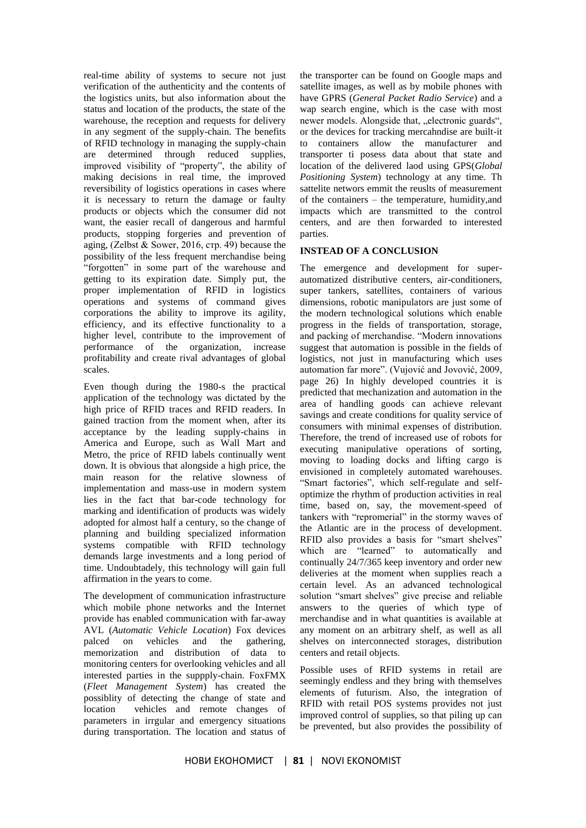real-time ability of systems to secure not just verification of the authenticity and the contents of the logistics units, but also information about the status and location of the products, the state of the warehouse, the reception and requests for delivery in any segment of the supply-chain. The benefits of RFID technology in managing the supply-chain are determined through reduced supplies, improved visibility of "property", the ability of making decisions in real time, the improved reversibility of logistics operations in cases where it is necessary to return the damage or faulty products or objects which the consumer did not want, the easier recall of dangerous and harmful products, stopping forgeries and prevention of aging, (Zelbst & Sower, 2016, стр. 49) because the possibility of the less frequent merchandise being "forgotten" in some part of the warehouse and getting to its expiration date. Simply put, the proper implementation of RFID in logistics operations and systems of command gives corporations the ability to improve its agility, efficiency, and its effective functionality to a higher level, contribute to the improvement of performance of the organization, increase profitability and create rival advantages of global scales.

Even though during the 1980-s the practical application of the technology was dictated by the high price of RFID traces and RFID readers. In gained traction from the moment when, after its acceptance by the leading supply-chains in America and Europe, such as Wall Mart and Metro, the price of RFID labels continually went down. It is obvious that alongside a high price, the main reason for the relative slowness of implementation and mass-use in modern system lies in the fact that bar-code technology for marking and identification of products was widely adopted for almost half a century, so the change of planning and building specialized information systems compatible with RFID technology demands large investments and a long period of time. Undoubtadely, this technology will gain full affirmation in the years to come.

The development of communication infrastructure which mobile phone networks and the Internet provide has enabled communication with far-away AVL (*Automatic Vehicle Location*) Fox devices palced on vehicles and the gathering, memorization and distribution of data to monitoring centers for overlooking vehicles and all interested parties in the suppply-chain. FoxFMX (*Fleet Management System*) has created the possiblity of detecting the change of state and location vehicles and remote changes of parameters in irrgular and emergency situations during transportation. The location and status of

the transporter can be found on Google maps and satellite images, as well as by mobile phones with have GPRS (*General Packet Radio Service*) and a wap search engine, which is the case with most newer models. Alongside that, "electronic guards", or the devices for tracking mercahndise are built-it to containers allow the manufacturer and transporter ti posess data about that state and location of the delivered laod using GPS(*Global Positioning System*) technology at any time. Th sattelite networs emmit the reuslts of measurement of the containers – the temperature, humidity,and impacts which are transmitted to the control centers, and are then forwarded to interested parties.

## **INSTEAD OF A CONCLUSION**

The emergence and development for superautomatized distributive centers, air-conditioners, super tankers, satellites, containers of various dimensions, robotic manipulators are just some of the modern technological solutions which enable progress in the fields of transportation, storage, and packing of merchandise. "Modern innovations suggest that automation is possible in the fields of logistics, not just in manufacturing which uses automation far more". (Vujović and Jovović, 2009, page 26) In highly developed countries it is predicted that mechanization and automation in the area of handling goods can achieve relevant savings and create conditions for quality service of consumers with minimal expenses of distribution. Therefore, the trend of increased use of robots for executing manipulative operations of sorting, moving to loading docks and lifting cargo is envisioned in completely automated warehouses. "Smart factories", which self-regulate and selfoptimize the rhythm of production activities in real time, based on, say, the movement-speed of tankers with "repromerial" in the stormy waves of the Atlantic are in the process of development. RFID also provides a basis for "smart shelves" which are "learned" to automatically and continually 24/7/365 keep inventory and order new deliveries at the moment when supplies reach a certain level. As an advanced technological solution "smart shelves" give precise and reliable answers to the queries of which type of merchandise and in what quantities is available at any moment on an arbitrary shelf, as well as all shelves on interconnected storages, distribution centers and retail objects.

Possible uses of RFID systems in retail are seemingly endless and they bring with themselves elements of futurism. Also, the integration of RFID with retail POS systems provides not just improved control of supplies, so that piling up can be prevented, but also provides the possibility of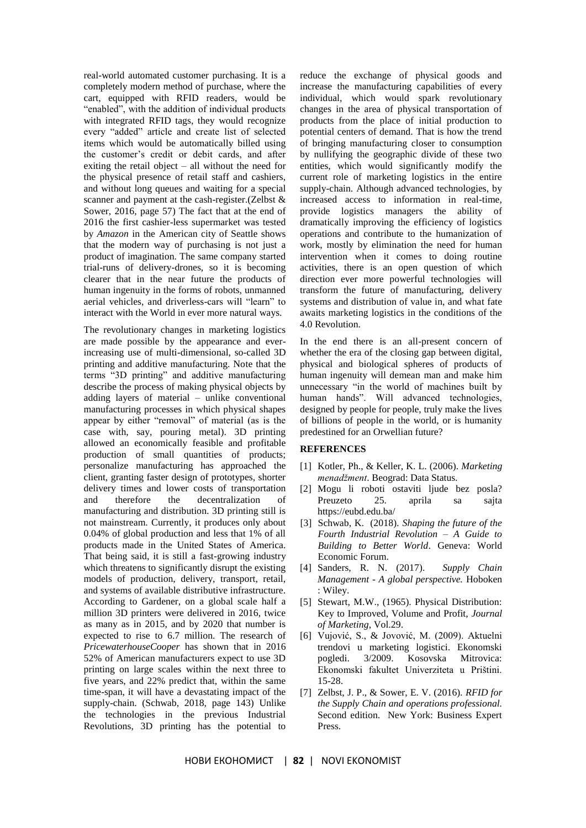real-world automated customer purchasing. It is a completely modern method of purchase, where the cart, equipped with RFID readers, would be "enabled", with the addition of individual products with integrated RFID tags, they would recognize every "added" article and create list of selected items which would be automatically billed using the customer's credit or debit cards, and after exiting the retail object – all without the need for the physical presence of retail staff and cashiers, and without long queues and waiting for a special scanner and payment at the cash-register.(Zelbst & Sower, 2016, page 57) The fact that at the end of 2016 the first cashier-less supermarket was tested by *Amazon* in the American city of Seattle shows that the modern way of purchasing is not just a product of imagination. The same company started trial-runs of delivery-drones, so it is becoming clearer that in the near future the products of human ingenuity in the forms of robots, unmanned aerial vehicles, and driverless-cars will "learn" to interact with the World in ever more natural ways.

The revolutionary changes in marketing logistics are made possible by the appearance and everincreasing use of multi-dimensional, so-called 3D printing and additive manufacturing. Note that the terms "3D printing" and additive manufacturing describe the process of making physical objects by adding layers of material – unlike conventional manufacturing processes in which physical shapes appear by either "removal" of material (as is the case with, say, pouring metal). 3D printing allowed an economically feasible and profitable production of small quantities of products; personalize manufacturing has approached the client, granting faster design of prototypes, shorter delivery times and lower costs of transportation and therefore the decentralization of manufacturing and distribution. 3D printing still is not mainstream. Currently, it produces only about 0.04% of global production and less that 1% of all products made in the United States of America. That being said, it is still a fast-growing industry which threatens to significantly disrupt the existing models of production, delivery, transport, retail, and systems of available distributive infrastructure. According to Gardener, on a global scale half a million 3D printers were delivered in 2016, twice as many as in 2015, and by 2020 that number is expected to rise to 6.7 million. The research of *PricewaterhouseCooper* has shown that in 2016 52% of American manufacturers expect to use 3D printing on large scales within the next three to five years, and 22% predict that, within the same time-span, it will have a devastating impact of the supply-chain. (Schwab, 2018, page 143) Unlike the technologies in the previous Industrial Revolutions, 3D printing has the potential to

reduce the exchange of physical goods and increase the manufacturing capabilities of every individual, which would spark revolutionary changes in the area of physical transportation of products from the place of initial production to potential centers of demand. That is how the trend of bringing manufacturing closer to consumption by nullifying the geographic divide of these two entities, which would significantly modify the current role of marketing logistics in the entire supply-chain. Although advanced technologies, by increased access to information in real-time, provide logistics managers the ability of dramatically improving the efficiency of logistics operations and contribute to the humanization of work, mostly by elimination the need for human intervention when it comes to doing routine activities, there is an open question of which direction ever more powerful technologies will transform the future of manufacturing, delivery systems and distribution of value in, and what fate awaits marketing logistics in the conditions of the 4.0 Revolution.

In the end there is an all-present concern of whether the era of the closing gap between digital, physical and biological spheres of products of human ingenuity will demean man and make him unnecessary "in the world of machines built by human hands". Will advanced technologies, designed by people for people, truly make the lives of billions of people in the world, or is humanity predestined for an Orwellian future?

#### **REFERENCES**

- [1] Kotler, Ph., & Keller, K. L. (2006). *Marketing menadžment*. Beograd: Data Status.
- [2] Mogu li roboti ostaviti ljude bez posla? Preuzeto 25. aprila sa sajta https://eubd.edu.ba/
- [3] Schwab, K. (2018). *Shaping the future of the Fourth Industrial Revolution – A Guide to Building to Better World*. Geneva: World Economic Forum.
- [4] Sanders, R. N. (2017). *Supply Chain Management - A global perspective.* Hoboken : Wiley.
- [5] Stewart, M.W., (1965). Physical Distribution: Key to Improved, Volume and Profit, *Journal of Marketing*, Vol.29.
- [6] Vujović, S., & Jovović, М. (2009). Aktuelni trendovi u marketing logistici. Ekonomski pogledi. 3/2009. Kosovska Mitrovica: Ekonomski fakultet Univerziteta u Prištini. 15-28.
- [7] Zelbst, J. P., & Sower, E. V. (2016). *RFID for the Supply Chain and operations professional.* Second edition. New York: Business Expert Press.